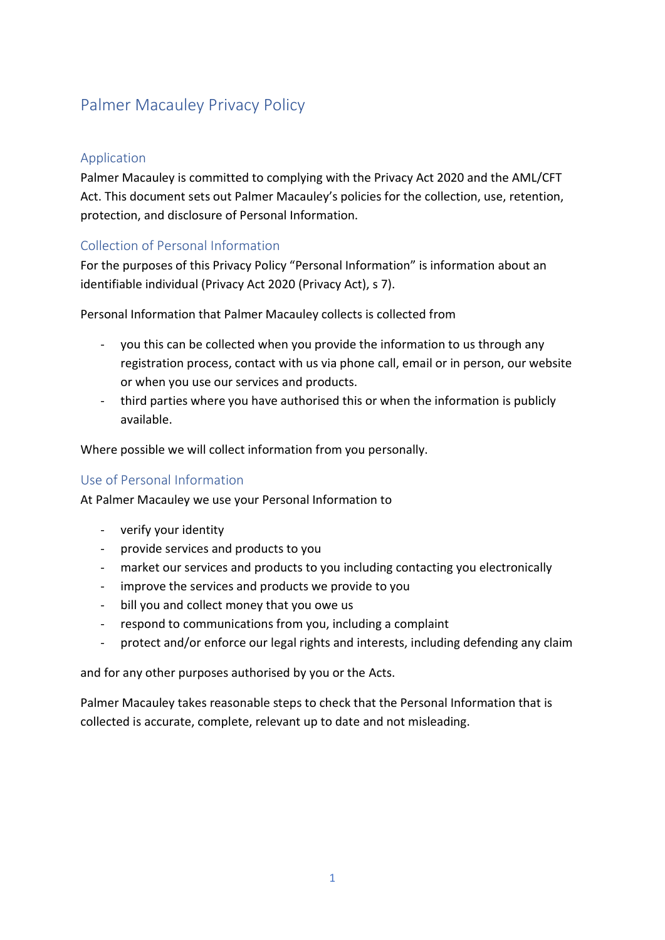# Palmer Macauley Privacy Policy

## Application

Palmer Macauley is committed to complying with the Privacy Act 2020 and the AML/CFT Act. This document sets out Palmer Macauley's policies for the collection, use, retention, protection, and disclosure of Personal Information.

# Collection of Personal Information

For the purposes of this Privacy Policy "Personal Information" is information about an identifiable individual (Privacy Act 2020 (Privacy Act), s 7).

Personal Information that Palmer Macauley collects is collected from

- you this can be collected when you provide the information to us through any registration process, contact with us via phone call, email or in person, our website or when you use our services and products.
- third parties where you have authorised this or when the information is publicly available.

Where possible we will collect information from you personally.

### Use of Personal Information

At Palmer Macauley we use your Personal Information to

- verify your identity
- provide services and products to you
- market our services and products to you including contacting you electronically
- improve the services and products we provide to you
- bill you and collect money that you owe us
- respond to communications from you, including a complaint
- protect and/or enforce our legal rights and interests, including defending any claim

and for any other purposes authorised by you or the Acts.

Palmer Macauley takes reasonable steps to check that the Personal Information that is collected is accurate, complete, relevant up to date and not misleading.